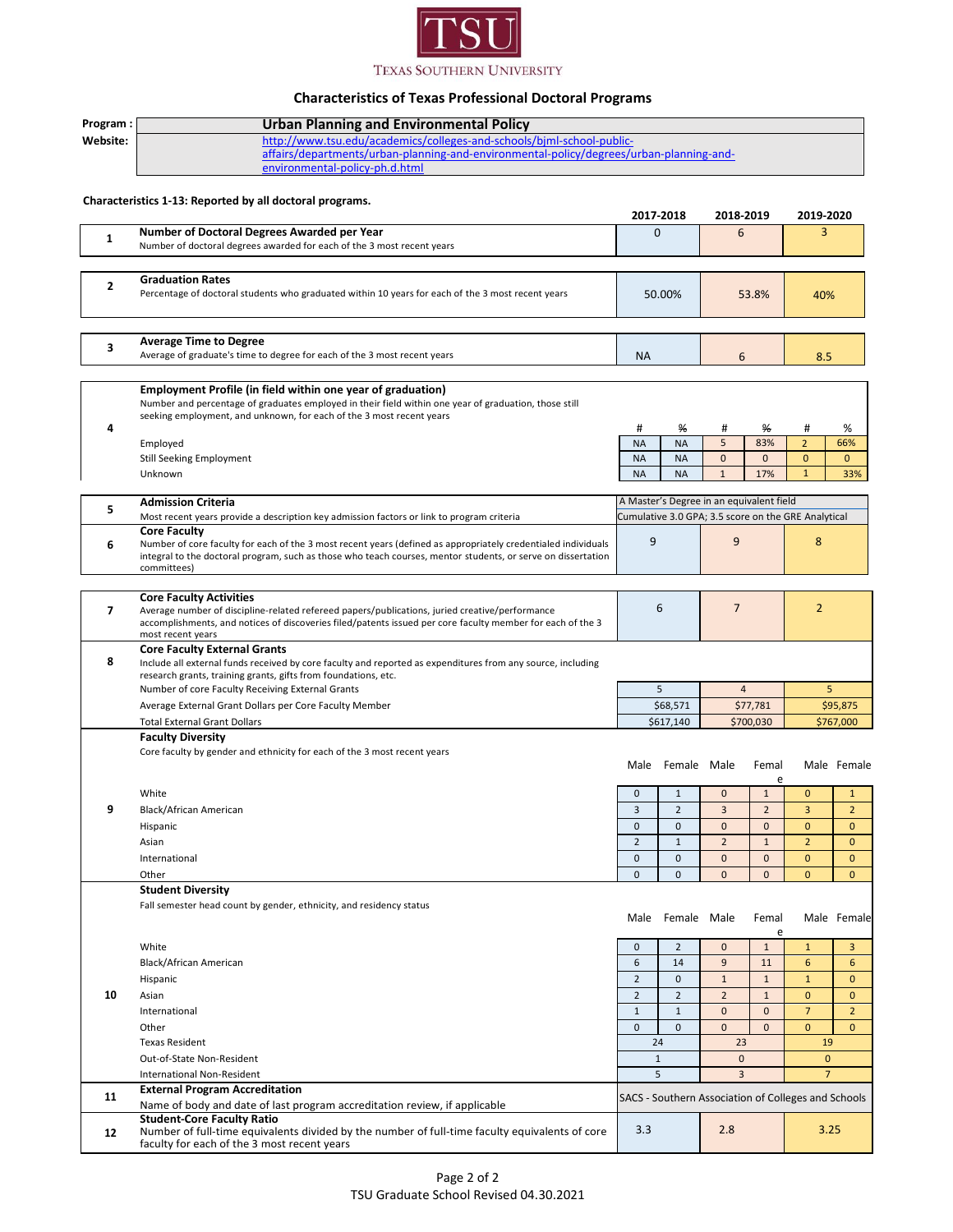

## **Characteristics of Texas Professional Doctoral Programs**

| Program:       | <b>Urban Planning and Environmental Policy</b>                                                                                                                                |                     |                  |                                          |                |                                                     |                |  |
|----------------|-------------------------------------------------------------------------------------------------------------------------------------------------------------------------------|---------------------|------------------|------------------------------------------|----------------|-----------------------------------------------------|----------------|--|
| Website:       | http://www.tsu.edu/academics/colleges-and-schools/biml-school-public-                                                                                                         |                     |                  |                                          |                |                                                     |                |  |
|                | affairs/departments/urban-planning-and-environmental-policy/degrees/urban-planning-and-                                                                                       |                     |                  |                                          |                |                                                     |                |  |
|                | environmental-policy-ph.d.html                                                                                                                                                |                     |                  |                                          |                |                                                     |                |  |
|                |                                                                                                                                                                               |                     |                  |                                          |                |                                                     |                |  |
|                | Characteristics 1-13: Reported by all doctoral programs.                                                                                                                      |                     |                  |                                          |                |                                                     |                |  |
|                |                                                                                                                                                                               |                     | 2017-2018        | 2018-2019                                |                | 2019-2020                                           |                |  |
| 1              | Number of Doctoral Degrees Awarded per Year                                                                                                                                   | $\overline{0}$      |                  | 6                                        |                | 3                                                   |                |  |
|                | Number of doctoral degrees awarded for each of the 3 most recent years                                                                                                        |                     |                  |                                          |                |                                                     |                |  |
|                |                                                                                                                                                                               |                     |                  |                                          |                |                                                     |                |  |
| 2              | <b>Graduation Rates</b>                                                                                                                                                       |                     |                  |                                          |                |                                                     |                |  |
|                | Percentage of doctoral students who graduated within 10 years for each of the 3 most recent years                                                                             | 50.00%              |                  | 53.8%                                    | 40%            |                                                     |                |  |
|                |                                                                                                                                                                               |                     |                  |                                          |                |                                                     |                |  |
|                |                                                                                                                                                                               |                     |                  |                                          |                |                                                     |                |  |
| 3              | <b>Average Time to Degree</b><br>Average of graduate's time to degree for each of the 3 most recent years                                                                     | <b>NA</b>           |                  |                                          |                |                                                     |                |  |
|                |                                                                                                                                                                               |                     |                  | 6                                        |                | 8.5                                                 |                |  |
|                |                                                                                                                                                                               |                     |                  |                                          |                |                                                     |                |  |
|                | Employment Profile (in field within one year of graduation)<br>Number and percentage of graduates employed in their field within one year of graduation, those still          |                     |                  |                                          |                |                                                     |                |  |
|                | seeking employment, and unknown, for each of the 3 most recent years                                                                                                          |                     |                  |                                          |                |                                                     |                |  |
| 4              |                                                                                                                                                                               | #                   | ℅                | #                                        | ℅              | #                                                   | %              |  |
|                | Employed                                                                                                                                                                      | <b>NA</b>           | <b>NA</b>        | 5                                        | 83%            | $\overline{2}$                                      | 66%            |  |
|                | <b>Still Seeking Employment</b>                                                                                                                                               | <b>NA</b>           | <b>NA</b>        | $\mathbf{0}$                             | $\mathbf{0}$   | $\mathbf{0}$                                        | $\mathbf{0}$   |  |
|                | Unknown                                                                                                                                                                       | <b>NA</b>           | <b>NA</b>        | $\mathbf{1}$                             | 17%            | $\mathbf{1}$                                        | 33%            |  |
|                |                                                                                                                                                                               |                     |                  | A Master's Degree in an equivalent field |                |                                                     |                |  |
| 5              | <b>Admission Criteria</b><br>Most recent years provide a description key admission factors or link to program criteria                                                        |                     |                  |                                          |                | Cumulative 3.0 GPA; 3.5 score on the GRE Analytical |                |  |
|                | <b>Core Faculty</b>                                                                                                                                                           |                     |                  |                                          |                |                                                     |                |  |
| 6              | Number of core faculty for each of the 3 most recent years (defined as appropriately credentialed individuals                                                                 | 9<br>9              |                  | 8                                        |                |                                                     |                |  |
|                | integral to the doctoral program, such as those who teach courses, mentor students, or serve on dissertation                                                                  |                     |                  |                                          |                |                                                     |                |  |
|                | committees)                                                                                                                                                                   |                     |                  |                                          |                |                                                     |                |  |
|                | <b>Core Faculty Activities</b>                                                                                                                                                |                     |                  |                                          |                |                                                     |                |  |
| $\overline{ }$ | Average number of discipline-related refereed papers/publications, juried creative/performance                                                                                | 6<br>$\overline{7}$ |                  | $\overline{2}$                           |                |                                                     |                |  |
|                | accomplishments, and notices of discoveries filed/patents issued per core faculty member for each of the 3                                                                    |                     |                  |                                          |                |                                                     |                |  |
|                | most recent years                                                                                                                                                             |                     |                  |                                          |                |                                                     |                |  |
| 8              | <b>Core Faculty External Grants</b>                                                                                                                                           |                     |                  |                                          |                |                                                     |                |  |
|                | Include all external funds received by core faculty and reported as expenditures from any source, including<br>research grants, training grants, gifts from foundations, etc. |                     |                  |                                          |                |                                                     |                |  |
|                | Number of core Faculty Receiving External Grants                                                                                                                              |                     | 5                | $\overline{4}$                           |                | 5                                                   |                |  |
|                | Average External Grant Dollars per Core Faculty Member                                                                                                                        | \$68,571            |                  | \$77,781                                 |                | \$95,875                                            |                |  |
|                | <b>Total External Grant Dollars</b>                                                                                                                                           | \$617,140           |                  | \$700,030                                |                | \$767,000                                           |                |  |
|                | <b>Faculty Diversity</b>                                                                                                                                                      |                     |                  |                                          |                |                                                     |                |  |
|                | Core faculty by gender and ethnicity for each of the 3 most recent years                                                                                                      |                     |                  |                                          |                |                                                     |                |  |
|                |                                                                                                                                                                               |                     | Male Female Male |                                          | Femal          |                                                     | Male Female    |  |
|                |                                                                                                                                                                               |                     |                  |                                          | e              |                                                     |                |  |
|                | White                                                                                                                                                                         | $\mathbf{0}$        | $\mathbf{1}$     | $\mathbf 0$                              | $\mathbf{1}$   | $\mathbf{0}$                                        | $\mathbf{1}$   |  |
| 9              | Black/African American                                                                                                                                                        | $\overline{3}$      | $\overline{2}$   | 3                                        | $\overline{2}$ | 3                                                   | $\overline{2}$ |  |
|                | Hispanic                                                                                                                                                                      | $\mathbf{0}$        | $\mathbf{0}$     | $\mathbf{0}$                             | $\mathbf{0}$   | $\mathbf{0}$                                        | $\mathbf 0$    |  |
|                | Asian                                                                                                                                                                         | $\overline{2}$      | $\mathbf 1$      | $\overline{2}$                           | $\mathbf{1}$   | $\overline{2}$                                      | $\mathbf{0}$   |  |
|                | International                                                                                                                                                                 | $\mathbf{0}$        | $\mathbf{0}$     | $\mathbf 0$                              | $\mathbf{0}$   | $\mathbf{0}$                                        | $\mathbf{0}$   |  |
|                | Other                                                                                                                                                                         | $\mathbf{0}$        | $\mathbf{0}$     | $\mathbf{0}$                             | $\mathbf{0}$   | $\mathbf{0}$                                        | $\mathbf{0}$   |  |
|                | <b>Student Diversity</b>                                                                                                                                                      |                     |                  |                                          |                |                                                     |                |  |
|                | Fall semester head count by gender, ethnicity, and residency status                                                                                                           |                     |                  |                                          |                |                                                     |                |  |
|                |                                                                                                                                                                               |                     | Male Female Male |                                          | Femal<br>e     |                                                     | Male Female    |  |
|                | White                                                                                                                                                                         | $\mathbf{0}$        | $\overline{2}$   | $\mathbf{0}$                             | $\mathbf{1}$   | $\mathbf{1}$                                        | 3              |  |
|                | Black/African American                                                                                                                                                        | 6                   | 14               | 9                                        | 11             | 6                                                   | 6              |  |
|                | Hispanic                                                                                                                                                                      | $\overline{2}$      | $\mathbf{0}$     | $\mathbf{1}$                             | $\mathbf{1}$   | $\mathbf{1}$                                        | $\mathbf{0}$   |  |
| 10             | Asian                                                                                                                                                                         | $\overline{2}$      | $\overline{2}$   | $\overline{2}$                           | $\mathbf{1}$   | $\mathbf{0}$                                        | $\mathbf{0}$   |  |
|                | International                                                                                                                                                                 | $\mathbf{1}$        | $\mathbf{1}$     | $\mathbf{0}$                             | $\mathbf{0}$   | $\overline{7}$                                      | $\overline{2}$ |  |
|                | Other                                                                                                                                                                         | $\mathbf{0}$        | $\mathbf{0}$     | $\mathbf{0}$                             | $\mathbf{0}$   | $\mathbf{0}$                                        | $\mathbf{0}$   |  |
|                | <b>Texas Resident</b>                                                                                                                                                         |                     |                  | 23                                       |                |                                                     |                |  |
|                | Out-of-State Non-Resident                                                                                                                                                     | 24<br>$\mathbf 1$   |                  | $\mathbf{0}$                             |                | 19<br>$\mathbf{0}$                                  |                |  |
|                | International Non-Resident                                                                                                                                                    | 5                   |                  | $\overline{3}$                           |                | $\overline{7}$                                      |                |  |
|                | <b>External Program Accreditation</b>                                                                                                                                         |                     |                  |                                          |                |                                                     |                |  |
| 11             | Name of body and date of last program accreditation review, if applicable                                                                                                     |                     |                  |                                          |                | SACS - Southern Association of Colleges and Schools |                |  |
|                | <b>Student-Core Faculty Ratio</b>                                                                                                                                             |                     |                  |                                          |                |                                                     |                |  |
| 12             | Number of full-time equivalents divided by the number of full-time faculty equivalents of core                                                                                | 3.3                 |                  | 2.8                                      |                | 3.25                                                |                |  |
|                | faculty for each of the 3 most recent years                                                                                                                                   |                     |                  |                                          |                |                                                     |                |  |